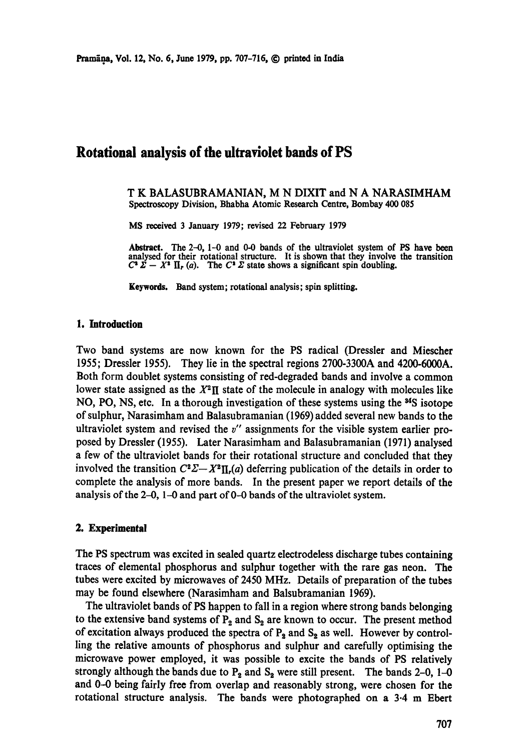# **Rotational analysis of the ultraviolet bands of PS**

T K BALASUBRAMANIAN, M N DIXIT and N A NARASIMHAM Spectroscopy Division, Bhabha Atomic Research Centre, Bombay 400 085

MS received 3 January 1979; revised 22 February 1979

Abstract. The 2-0, 1-0 and 0-0 bands of the ultraviolet system of PS have been analysed for their rotational structure. It is shown that they involve **the transition**   $C^2 \Sigma - X^2 \Pi_r (a)$ . The  $C^2 \Sigma$  state shows a significant spin doubling.

Keywords. Band system; rotational analysis; spin splitting.

## **1. Introduction**

Two band systems are now known for the PS radical (Dressier and Miescher 1955; Dressler 1955). They lie in the spectral regions 2700-3300A and 4200-6000A. Both form doublet systems consisting of red-degraded bands and involve a common lower state assigned as the  $X^2\Pi$  state of the molecule in analogy with molecules like NO, PO, NS, etc. In a thorough investigation of these systems using the  $^{34}S$  isotope of sulphur, Narasimham and Balasubramanian (1969) added several new bands to the ultraviolet system and revised the  $v''$  assignments for the visible system earlier proposed by Dressler (1955). Later Narasimham and Balasubramanian (1971) analysed a few of the ultraviolet bands for their rotational structure and concluded that they involved the transition  $C^2\Sigma - X^2\Pi_r(a)$  deferring publication of the details in order to complete the analysis of more bands. In the present paper we report details of the analysis of the  $2-0$ ,  $1-0$  and part of  $0-0$  bands of the ultraviolet system.

## **2. Experimental**

The PS spectrum was excited in sealed quartz electrodeless discharge tubes containing traces of elemental phosphorus and sulphur together with the rare gas neon. The tubes were excited by microwaves of 2450 MHz. Details of preparation of the tubes may be found elsewhere (Narasimham and Balsubramanian *1969).* 

The ultraviolet bands of PS happen to fall in a region where strong bands belonging to the extensive band systems of  $P_2$  and  $S_2$  are known to occur. The present method of excitation always produced the spectra of  $P_2$  and  $S_2$  as well. However by controlling the relative amounts of phosphorus and sulphur and carefully optimising the microwave power employed, it was possible to excite the bands of PS relatively strongly although the bands due to  $P_2$  and  $S_2$  were still present. The bands 2-0, 1-0 and 0-0 being fairly free from overlap and reasonably strong, were chosen for **the**  rotational structure analysis. The bands were photographed on a 3.4 m Ebert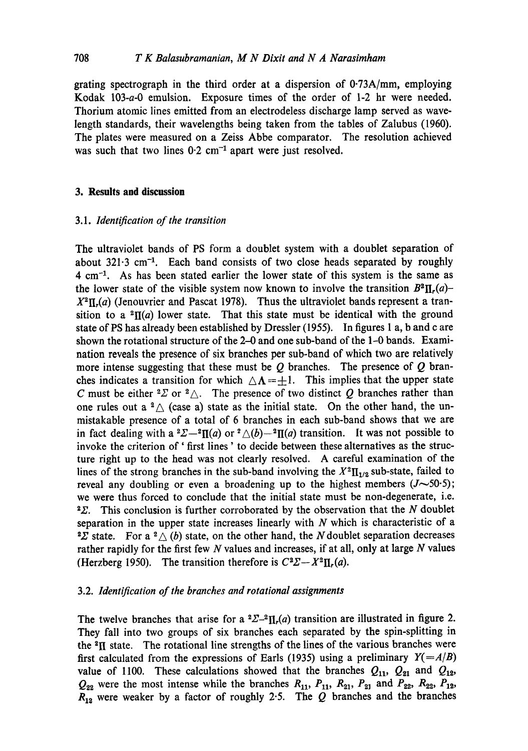grating spectrograph in the third order at a dispersion of  $0.73A/mm$ , employing Kodak 103-a-0 emulsion. Exposure times of the order of 1-2 hr were needed. Thorium atomic lines emitted from an electrodeless discharge lamp served as wavelength standards, their wavelengths being taken from the tables of Zalubus (1960). The plates were measured on a Zeiss Abbe comparator. The resolution achieved was such that two lines  $0.2 \text{ cm}^{-1}$  apart were just resolved.

#### **3. Results and discussion**

## *3.1. Identification of the transition*

The ultraviolet bands of PS form a doublet system with a doublet separation of about  $321.3 \text{ cm}^{-1}$ . Each band consists of two close heads separated by roughly  $4 \text{ cm}^{-1}$ . As has been stated earlier the lower state of this system is the same as the lower state of the visible system now known to involve the transition  $B^2\Pi_r(a)$ - $X^2\Pi_r(a)$  (Jenouvrier and Pascat 1978). Thus the ultraviolet bands represent a transition to a  ${}^{2}\Pi(a)$  lower state. That this state must be identical with the ground state of PS has already been established by Dressier (1955). In figures 1 a, b and c are shown the rotational structure of the  $2-0$  and one sub-band of the  $1-0$  bands. Examination reveals the presence of six branches per sub-band of which two are relatively more intense suggesting that these must be  $Q$  branches. The presence of  $Q$  branches indicates a transition for which  $\Delta \Lambda = \pm 1$ . This implies that the upper state C must be either  ${}^{2}\Sigma$  or  ${}^{2}\triangle$ . The presence of two distinct Q branches rather than one rules out a  $^2\triangle$  (case a) state as the initial state. On the other hand, the unmistakable presence of a total of 6 branches in each sub-band shows that we are in fact dealing with a  ${}^{2}\Sigma -{}^{2}\Pi(a)$  or  ${}^{2}\triangle(b)-{}^{2}\Pi(a)$  transition. It was not possible to invoke the criterion of' first lines' to decide between these alternatives as the structure right up to the head was not clearly resolved. A careful examination of the lines of the strong branches in the sub-band involving the  $X^2 \Pi_{1/2}$  sub-state, failed to reveal any doubling or even a broadening up to the highest members  $(J~50.5)$ ; we were thus forced to conclude that the initial state must be non-degenerate, i.e.  $2\Sigma$ . This conclusion is further corroborated by the observation that the N doublet separation in the upper state increases linearly with  $N$  which is characteristic of a <sup>2</sup> $\Sigma$  state. For a <sup>2</sup> $\triangle$  (b) state, on the other hand, the N doublet separation decreases rather rapidly for the first few  $N$  values and increases, if at all, only at large  $N$  values (Herzberg 1950). The transition therefore is  $C^2\Sigma - X^2\Pi_r(a)$ .

#### 3.2. *Identification of the branches and rotational assignments*

The twelve branches that arise for a  ${}^{2}\Sigma^{-2}\Pi_{r}(a)$  transition are illustrated in figure 2. They fall into two groups of six branches each separated by the spin-splitting in the  $2\pi$  state. The rotational line strengths of the lines of the various branches were first calculated from the expressions of Earls (1935) using a preliminary  $Y(=\frac{A}{B})$ value of 1100. These calculations showed that the branches  $Q_{11}$ ,  $Q_{21}$  and  $Q_{12}$ ,  $Q_{22}$  were the most intense while the branches  $R_{11}$ ,  $P_{11}$ ,  $R_{21}$ ,  $P_{21}$  and  $P_{22}$ ,  $R_{22}$ ,  $P_{12}$ ,  $R_{12}$  were weaker by a factor of roughly 2.5. The Q branches and the branches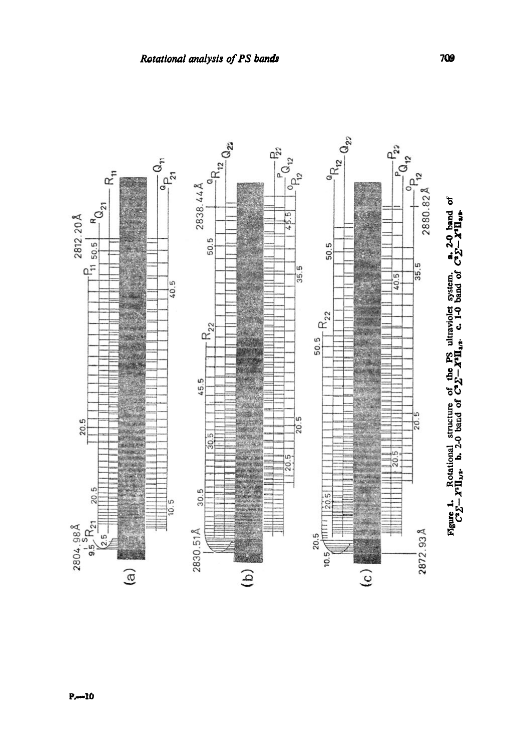

709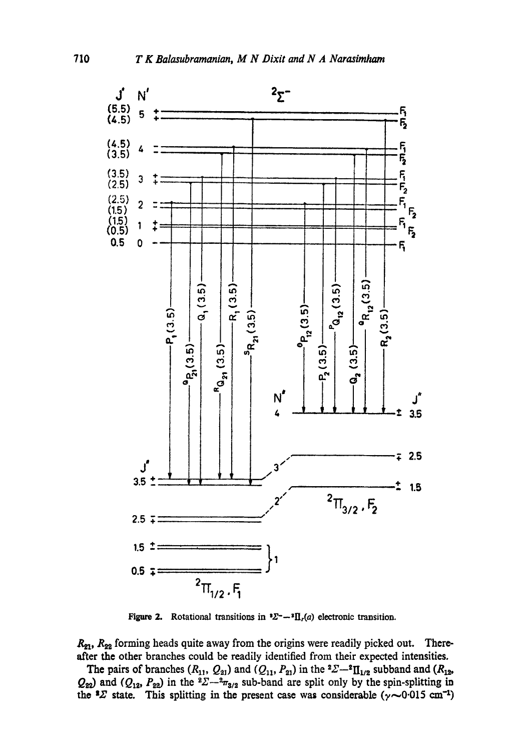

Figure 2. Rotational transitions in  $\Sigma^{2}-\mathrm{H}_{r}(a)$  electronic transition.

 $R_{21}$ ,  $R_{22}$  forming heads quite away from the origins were readily picked out. Thereafter the other branches could be readily identified from their expected intensities.

The pairs of branches  $(R_{11}, Q_{21})$  and  $(Q_{11}, P_{21})$  in the  ${}^2\Sigma - {}^2\Pi_{1/2}$  subband and  $(R_{12},$  $Q_{22}$  and  $(Q_{12}, P_{22})$  in the  ${}^{2}\Sigma - {}^{2}\pi_{3/2}$  sub-band are split only by the spin-splitting in the  $2 \times 2$  state. This splitting in the present case was considerable ( $\gamma$ ~0.015 cm<sup>-1</sup>)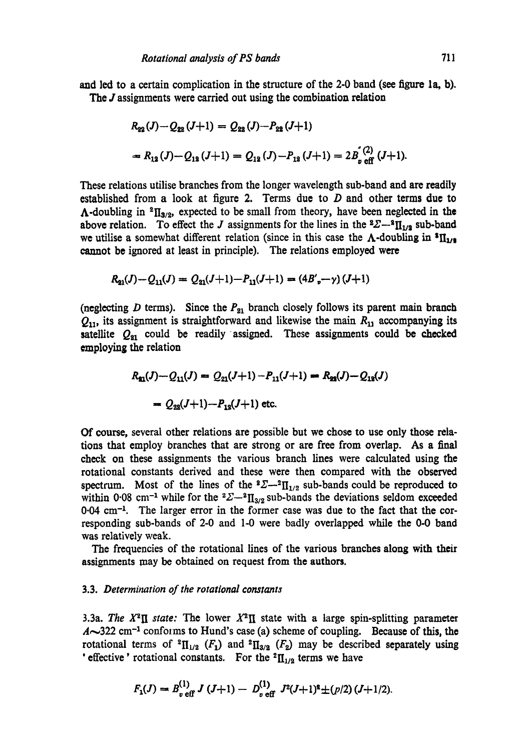and led to a certain complication in the structure of the 2-0 band (see figure la, b). The *J* assignments were carried out using the combination relation

$$
R_{22}(J) - Q_{22}(J+1) = Q_{22}(J) - P_{22}(J+1)
$$
  
=  $R_{12}(J) - Q_{12}(J+1) = Q_{12}(J) - P_{12}(J+1) = 2B_{2}^{(2)}(J+1).$ 

These relations utilise branches from the longer wavelength sub-band and are readily established from a look at figure 2. Terms due to  $D$  and other terms due to  $\Lambda$ -doubling in <sup>2</sup>II<sub>3/2</sub>, expected to be small from theory, have been neglected in the above relation. To effect the J assignments for the lines in the  ${}^2\Sigma-{}^2\Pi_{1/2}$  sub-band we utilise a somewhat different relation (since in this case the  $\Lambda$ -doubling in  $^{8}$ II<sub>1/8</sub> cannot be ignored at least in principle). The relations employed were

$$
R_{21}(J) - Q_{11}(J) = Q_{21}(J+1) - P_{11}(J+1) = (4B'_{\nu} - \gamma)(J+1)
$$

(neglecting D terms). Since the  $P_{21}$  branch closely follows its parent main branch  $Q_{11}$ , its assignment is straightforward and likewise the main  $R_{11}$  accompanying its satellite  $Q_{21}$  could be readily assigned. These assignments could be checked employing the relation

$$
R_{31}(J) - Q_{11}(J) = Q_{21}(J+1) - P_{11}(J+1) = R_{23}(J) - Q_{12}(J)
$$
  
=  $Q_{23}(J+1) - P_{12}(J+1)$  etc.

Of course, several other relations are possible but we chose to use only those relations that employ branches that are strong or are free from overlap. As a final check on these assignments the various branch lines were calculated using the rotational constants derived and these were then compared with the observed spectrum. Most of the lines of the  ${}^2\Sigma-{}^2\Pi_{1/2}$  sub-bands could be reproduced to within 0.08 cm<sup>-1</sup> while for the  ${}^{2}\Sigma-{}^{2}\Pi_{3/2}$  sub-bands the deviations seldom exceeded 0.04 cm<sup>-1</sup>. The larger error in the former case was due to the fact that the corresponding sub-bands of 2-0 and I-0 were badly overlapped while the 0-0 band was relatively weak.

The frequencies of the rotational lines of the various branches along with their assignments may be obtained on request from the authors.

# 3.3. *Determination of the rotational constants*

3.3a. The  $X^2\Pi$  state: The lower  $X^2\Pi$  state with a large spin-splitting parameter  $A\sim 322$  cm<sup>-1</sup> conforms to Hund's case (a) scheme of coupling. Because of this, the rotational terms of  ${}^{2}$ H<sub>1/2</sub> (F<sub>1</sub>) and  ${}^{2}$ H<sub>3/2</sub> (F<sub>2</sub>) may be described separately using ' effective' rotational constants. For the  ${}^2\Pi_{1/2}$  terms we have

$$
F_1(J) = B_{\nu \text{ eff}}^{(1)} J (J+1) - D_{\nu \text{ eff}}^{(1)} J^2 (J+1)^2 \pm (p/2) (J+1/2).
$$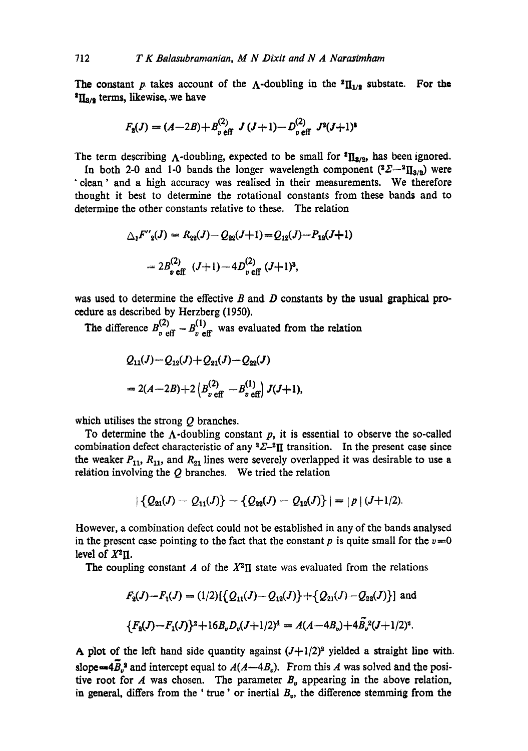The constant p takes account of the  $\Lambda$ -doubling in the  $^{2}II_{1/2}$  substate. For the  ${}^{4}$ II<sub>8/2</sub> terms, likewise, we have

$$
F_{2}(J) = (A-2B) + B_{v \text{ eff}}^{(2)} J (J+1) - D_{v \text{ eff}}^{(2)} J^{2}(J+1)^{2}
$$

The term describing  $\Lambda$ -doubling, expected to be small for  ${}^{2}II_{3/2}$ , has been ignored.

In both 2-0 and 1-0 bands the longer wavelength component  $(^{2}\Sigma - ^{2}II_{3/2})$  were 'dean' and a high accuracy was realised in their measurements. We therefore thought it best to determine the rotational constants from these bands and to determine the other constants relative to these. The relation

$$
\Delta_1 F''_2(J) = R_{22}(J) - Q_{22}(J+1) = Q_{12}(J) - P_{12}(J+1)
$$

$$
= 2B_{p \text{ eff}}^{(2)} (J+1) - 4D_{p \text{ eff}}^{(2)} (J+1)^3,
$$

was used to determine the effective  $B$  and  $D$  constants by the usual graphical proeedure as described by Herzberg (1950).

The difference  $B_{\nu \text{ eff}}^{(2)} - B_{\nu \text{ eff}}^{(1)}$  was evaluated from the relation

$$
Q_{11}(J) - Q_{12}(J) + Q_{21}(J) - Q_{22}(J)
$$
  
= 2(A-2B) + 2 (B<sub>v</sub><sup>(2)</sup><sub>eff</sub> - B<sub>v</sub><sup>(1)</sup><sub>v</sub>) J(J+1),

which utilises the strong  $Q$  branches.

To determine the  $\Lambda$ -doubling constant p, it is essential to observe the so-called combination defect characteristic of any  ${}^2\Sigma$ - ${}^2\Pi$  transition. In the present case since the weaker  $P_{11}$ ,  $R_{11}$ , and  $R_{21}$  lines were severely overlapped it was desirable to use a relation involving the  $Q$  branches. We tried the relation

$$
|\{Q_{21}(J) - Q_{11}(J)\} - \{Q_{22}(J) - Q_{12}(J)\}| = |p| (J+1/2).
$$

However, a combination defect could not be established in any of the bands analysed in the present case pointing to the fact that the constant  $p$  is quite small for the  $v=0$ level of  $X^2\Pi$ .

The coupling constant A of the  $X^2\Pi$  state was evaluated from the relations

$$
F_2(J) - F_1(J) = (1/2) \{ Q_{11}(J) - Q_{12}(J) \} + \{ Q_{21}(J) - Q_{22}(J) \} \text{ and}
$$
  

$$
\{ F_2(J) - F_1(J) \}^2 + 16 B_p D_p(J+1/2)^4 = A(A - 4B_p) + 4 \tilde{B_p}^2 (J+1/2)^2.
$$

A plot of the left hand side quantity against  $(J+1/2)^2$  yielded a straight line with. slope= $4\overline{B}_v^3$  and intercept equal to  $A(A-4B_v)$ . From this A was solved and the positive root for A was chosen. The parameter  $B<sub>v</sub>$  appearing in the above relation, in general, differs from the 'true' or inertial  $B_{\nu}$ , the difference stemming from the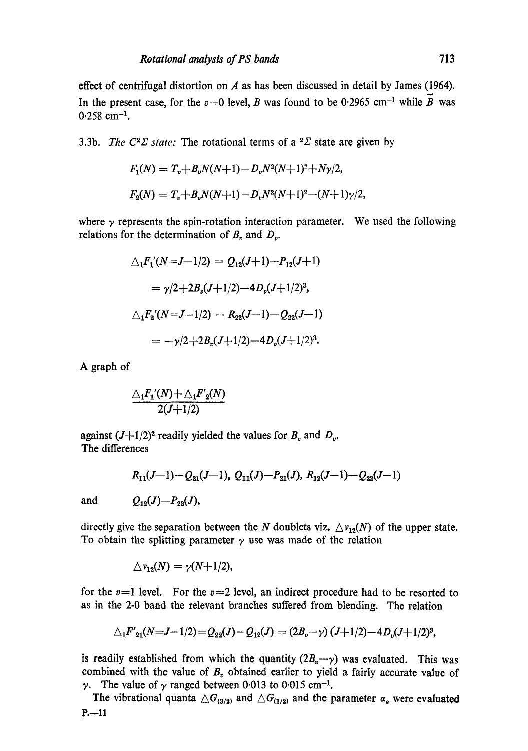effect of centrifugal distortion on  $A$  as has been discussed in detail by James (1964). In the present case, for the  $v=0$  level, B was found to be 0.2965 cm<sup>-1</sup> while B was  $0.258$  cm<sup>-1</sup>.

3.3b. *The C<sup>2</sup>* $\Sigma$  *state:* The rotational terms of a <sup>2</sup> $\Sigma$  state are given by

$$
F_1(N) = T_v + B_v N(N+1) - D_v N^2 (N+1)^2 + N\gamma/2,
$$
  
\n
$$
F_2(N) = T_v + B_v N(N+1) - D_v N^2 (N+1)^2 - (N+1)\gamma/2,
$$

where  $\gamma$  represents the spin-rotation interaction parameter. We used the following relations for the determination of  $B<sub>v</sub>$  and  $D<sub>v</sub>$ .

$$
\Delta_1 F_1'(N = J - 1/2) = Q_{12}(J + 1) - P_{12}(J + 1)
$$
  
=  $\gamma/2 + 2B_v(J + 1/2) - 4D_v(J + 1/2)^3$ ,  

$$
\Delta_1 F_2'(N = J - 1/2) = R_{22}(J - 1) - Q_{22}(J - 1)
$$
  
=  $-\gamma/2 + 2B_v(J + 1/2) - 4D_v(J + 1/2)^3$ .

A graph of

$$
\frac{\triangle_1 F_1'(N) + \triangle_1 F'_2(N)}{2(J+1/2)}
$$

against  $(J+1/2)^2$  readily yielded the values for  $B_v$  and  $D_v$ . The differences

$$
R_{11}(J-1)-Q_{21}(J-1), Q_{11}(J)-P_{21}(J), R_{12}(J-1)-Q_{22}(J-1)
$$

**and** 

$$
Q_{12}(J) \!\!-\!\! P_{22}(J),
$$

directly give the separation between the N doublets viz.  $\Delta v_{12}(N)$  of the upper state. To obtain the splitting parameter  $\gamma$  use was made of the relation

$$
\triangle \nu_{12}(N) = \gamma(N+1/2),
$$

for the  $v=1$  level. For the  $v=2$  level, an indirect procedure had to be resorted to as in the 2-0 band the relevant branches suffered from blending. The relation

$$
\triangle_1 F'_{21}(N=J-1/2) = Q_{22}(J) - Q_{12}(J) = (2B_v - \gamma)(J+1/2) - 4D_v(J+1/2)^3,
$$

is readily established from which the quantity  $(2B_v-\gamma)$  was evaluated. This was combined with the value of  $B<sub>y</sub>$  obtained earlier to yield a fairly accurate value of  $\gamma$ . The value of  $\gamma$  ranged between 0.013 to 0.015 cm<sup>-1</sup>.

The vibrational quanta  $\triangle G_{(3/2)}$  and  $\triangle G_{(1/2)}$  and the parameter  $a_e$  were evaluated  $P. -11$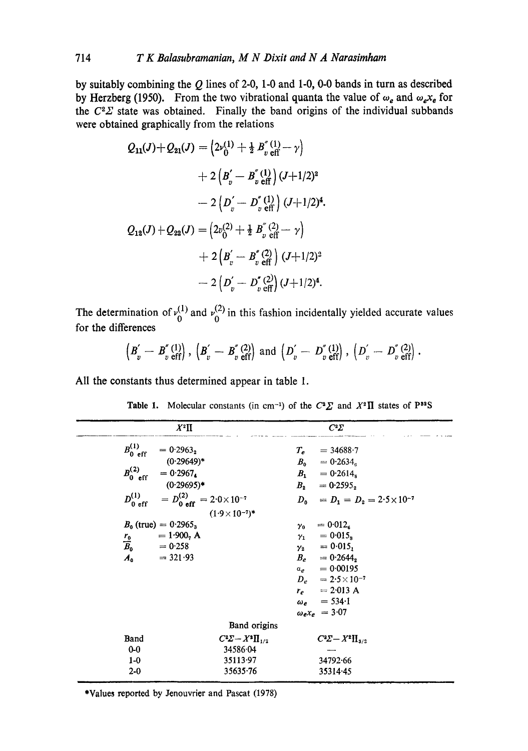by suitably combining the  $Q$  lines of 2-0, 1-0 and 1-0, 0-0 bands in turn as described by Herzberg (1950). From the two vibrational quanta the value of  $\omega_e$  and  $\omega_e x_e$  for the  $C^2\Sigma$  state was obtained. Finally the band origins of the individual subbands were obtained graphically from the relations

$$
Q_{11}(J) + Q_{21}(J) = \left(2\nu_0^{(1)} + \frac{1}{2} B_v^{''(1)} - \gamma\right)
$$
  
+ 
$$
2 \left(B_v^{'} - B_v^{''(1)}\right) (J + 1/2)^2
$$
  
- 
$$
2 \left(D_v^{'} - D_v^{''(1)}\right) (J + 1/2)^4.
$$
  

$$
Q_{12}(J) + Q_{22}(J) = \left(2\nu_0^{(2)} + \frac{1}{2} B_v^{''(2)} - \gamma\right)
$$
  
+ 
$$
2 \left(B_v^{'} - B_v^{''(2)}\right) (J + 1/2)^2
$$
  
- 
$$
2 \left(D_v^{'} - D_v^{''(2)}\right) (J + 1/2)^4.
$$

The determination of  $v_0^{(1)}$  and  $v_0^{(2)}$  in this fashion incidentally yielded accurate values for the differences

$$
\left(B_v^{'}-B_v^{''}\right)_{\text{eff}}^{(1)}\right),\ \left(B_v^{'}-B_v^{''}\right)_{\text{eff}}^{(2)}\right)\ \text{and}\ \left(D_v^{'}-D_v^{''}\right)_{\text{eff}}^{(1)}\right),\ \left(D_v^{'}-D_v^{''}\right)_{\text{eff}}^{(2)}\right).
$$

All the constants thus determined appear in table 1.

|             | $X^2\Pi$                                                                                                                                                                                                                                                                                                                                                                    | $C^2\Sigma$                                                                                                                                                                                                                                                                                                           |
|-------------|-----------------------------------------------------------------------------------------------------------------------------------------------------------------------------------------------------------------------------------------------------------------------------------------------------------------------------------------------------------------------------|-----------------------------------------------------------------------------------------------------------------------------------------------------------------------------------------------------------------------------------------------------------------------------------------------------------------------|
|             | $B_{0 \text{ eff}}^{(1)} = 0.2963_{2}$<br>$(0.29649)^*$<br>$B_{0 \text{ eff}}^{(2)} = 0.2967$<br>$(0.29695)^*$<br>$D_{0 \text{ eff}}^{(1)} = D_{0 \text{ eff}}^{(2)} = 2.0 \times 10^{-7}$<br>$(1.9 \times 10^{-7})$ *<br>$B_0$ (true) = 0.2965 <sub>3</sub><br>$= 1.900, A$<br>$\frac{r_0}{B_0}$ = 1.900 <sub>7</sub> A <sub>0</sub><br>= 0.258<br>A <sub>0</sub> = 321.93 | $T_e = 34688.7$<br>$B_0 = 0.2634_6$<br>$B_1 = 0.2614_8$<br>$B_2 = 0.2595_2$<br>$D_0 = D_1 = D_2 = 2.5 \times 10^{-7}$<br>$\gamma_0 = 0.012_{\rm s}$<br>$\gamma_1 = 0.015_s$<br>$y_2 = 0.015$<br>$B_e = 0.2644$<br>$a_e = 0.00195$<br>$D_{\rho} = 2.5 \times 10^{-7}$<br>$r_e = 2.013 \text{ A}$<br>$\omega_e$ = 534.1 |
|             |                                                                                                                                                                                                                                                                                                                                                                             | $\omega_e x_e = 3.07$                                                                                                                                                                                                                                                                                                 |
|             | Band origins                                                                                                                                                                                                                                                                                                                                                                |                                                                                                                                                                                                                                                                                                                       |
| <b>Band</b> | $C^2\Sigma - X^2\Pi_{1/2}$                                                                                                                                                                                                                                                                                                                                                  | $C^2\Sigma - X^2\Pi_{3/2}$                                                                                                                                                                                                                                                                                            |
| $0 - 0$     | 34586.04                                                                                                                                                                                                                                                                                                                                                                    |                                                                                                                                                                                                                                                                                                                       |
| $1-0$       | 35113.97                                                                                                                                                                                                                                                                                                                                                                    | 34792.66                                                                                                                                                                                                                                                                                                              |
| $2 - 0$     | 35635.76                                                                                                                                                                                                                                                                                                                                                                    | 35314.45                                                                                                                                                                                                                                                                                                              |

**Table 1.** Molecular constants (in cm<sup>-1</sup>) of the  $C^2\Sigma$  and  $X^2\Pi$  states of P<sup>32</sup>S

\*Values reported by Jenouvrier and Pascat (1978)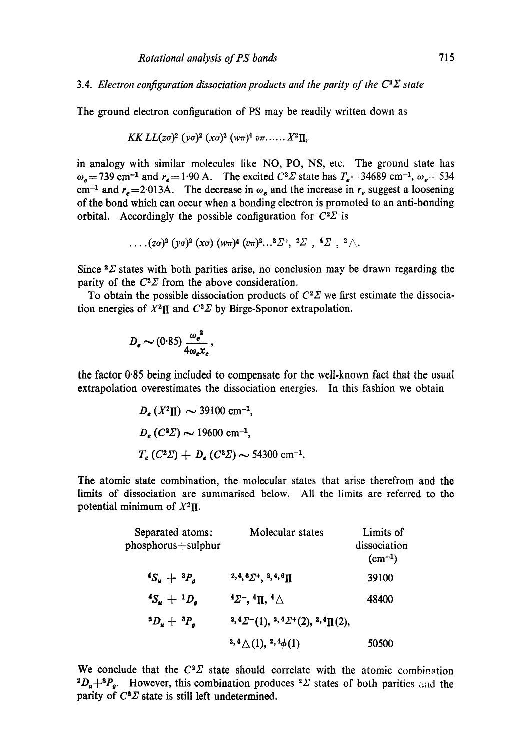3.4. *Electron configuration dissociation products and the parity of the*  $C^2\Sigma$  *state* 

The ground electron configuration of PS may be readily written down as

$$
KKLL(z\sigma)^2 \; (\gamma\sigma)^2 \; (\chi\sigma)^2 \; (\nu\pi)^4 \; \nu\pi \ldots \ldots X^2\Pi_r
$$

in analogy with similar molecules like NO, PO, NS, etc. The ground state has  $\omega_{\rm g}$  = 739 cm<sup>-1</sup> and  $r_{\rm g}$  = 1.90 A. The excited  $C^2\Sigma$  state has  $T_{\rm g}$  = 34689 cm<sup>-1</sup>,  $\omega_{\rm g}$  = 534 cm<sup>-1</sup> and  $r_e$  = 2.013A. The decrease in  $\omega_e$  and the increase in  $r_e$  suggest a loosening of the bond which can occur when a bonding electron is promoted to an anti-bonding orbital. Accordingly the possible configuration for  $C^2\Sigma$  is

$$
\ldots (z\sigma)^2 (y\sigma)^2 (x\sigma) (w\pi)^4 (v\pi)^2 \ldots^2 \Sigma^+, 2 \Sigma^-, 4 \Sigma^-, 2 \triangle.
$$

Since  $2\Sigma$  states with both parities arise, no conclusion may be drawn regarding the parity of the  $C^2\Sigma$  from the above consideration.

To obtain the possible dissociation products of  $C^2\Sigma$  we first estimate the dissociation energies of  $X^2\Pi$  and  $C^2\Sigma$  by Birge-Sponor extrapolation.

$$
D_e \sim (0.85) \frac{\omega_e^2}{4\omega_e x_e},
$$

the factor 0.85 being included to compensate for the well-known fact that the usual extrapolation overestimates the dissociation energies. In this fashion we obtain

$$
D_e (X^2 \Pi) \sim 39100 \text{ cm}^{-1},
$$
  
\n $D_e (C^2 \Sigma) \sim 19600 \text{ cm}^{-1},$   
\n $T_e (C^2 \Sigma) + D_e (C^2 \Sigma) \sim 54300 \text{ cm}^{-1}.$ 

The atomic state combination, the molecular states that arise therefrom and the limits of dissociation are summarised below. All the limits are referred to the potential minimum of  $X^2\Pi$ .

| Separated atoms:<br>phosphorus+sulphur | Molecular states                                    | Limits of<br>dissociation<br>$(cm^{-1})$ |
|----------------------------------------|-----------------------------------------------------|------------------------------------------|
| ${}^4S_u + {}^3P_a$                    | $2,4,6\Sigma^+, 2,4,6\Pi$                           | 39100                                    |
| $^{4}S_{u} + ^{1}D_{a}$                | $4\Sigma^-$ , $4\Pi$ , $4\Delta$                    | 48400                                    |
| $^{2}D_{u}+~^{3}P_{a}$                 | $2,4\Sigma$ - (1), $2,4\Sigma$ + (2), $2,4\Pi$ (2), |                                          |
|                                        | $2,4\bigtriangleup(1),2,4\phi(1)$                   | 50500                                    |

We conclude that the  $C^2\Sigma$  state should correlate with the atomic combination  ${}^2D_u+{}^3P_g$ . However, this combination produces  ${}^2\Sigma$  states of both parities and the parity of  $C^2\Sigma$  state is still left undetermined.